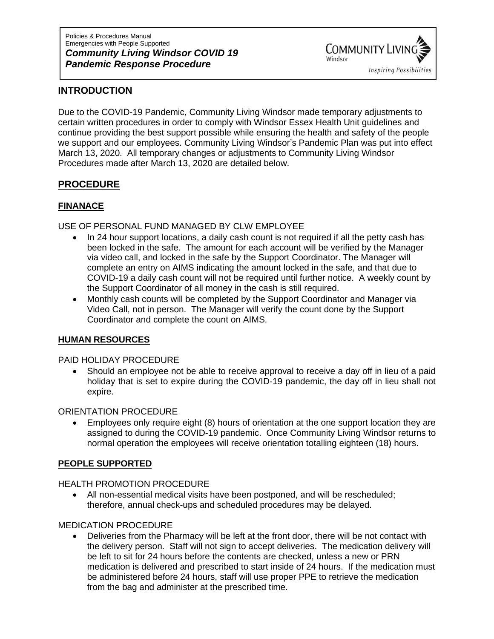Policies & Procedures Manual Emergencies with People Supported *Community Living Windsor COVID 19 Pandemic Response Procedure*



## **INTRODUCTION**

Due to the COVID-19 Pandemic, Community Living Windsor made temporary adjustments to certain written procedures in order to comply with Windsor Essex Health Unit guidelines and continue providing the best support possible while ensuring the health and safety of the people we support and our employees. Community Living Windsor's Pandemic Plan was put into effect March 13, 2020. All temporary changes or adjustments to Community Living Windsor Procedures made after March 13, 2020 are detailed below.

# **PROCEDURE**

# **FINANACE**

### USE OF PERSONAL FUND MANAGED BY CLW EMPLOYEE

- In 24 hour support locations, a daily cash count is not required if all the petty cash has been locked in the safe. The amount for each account will be verified by the Manager via video call, and locked in the safe by the Support Coordinator. The Manager will complete an entry on AIMS indicating the amount locked in the safe, and that due to COVID-19 a daily cash count will not be required until further notice. A weekly count by the Support Coordinator of all money in the cash is still required.
- Monthly cash counts will be completed by the Support Coordinator and Manager via Video Call, not in person. The Manager will verify the count done by the Support Coordinator and complete the count on AIMS.

#### **HUMAN RESOURCES**

#### PAID HOLIDAY PROCEDURE

• Should an employee not be able to receive approval to receive a day off in lieu of a paid holiday that is set to expire during the COVID-19 pandemic, the day off in lieu shall not expire.

#### ORIENTATION PROCEDURE

• Employees only require eight (8) hours of orientation at the one support location they are assigned to during the COVID-19 pandemic. Once Community Living Windsor returns to normal operation the employees will receive orientation totalling eighteen (18) hours.

#### **PEOPLE SUPPORTED**

HEALTH PROMOTION PROCEDURE

• All non-essential medical visits have been postponed, and will be rescheduled; therefore, annual check-ups and scheduled procedures may be delayed.

### MEDICATION PROCEDURE

• Deliveries from the Pharmacy will be left at the front door, there will be not contact with the delivery person. Staff will not sign to accept deliveries. The medication delivery will be left to sit for 24 hours before the contents are checked, unless a new or PRN medication is delivered and prescribed to start inside of 24 hours. If the medication must be administered before 24 hours, staff will use proper PPE to retrieve the medication from the bag and administer at the prescribed time.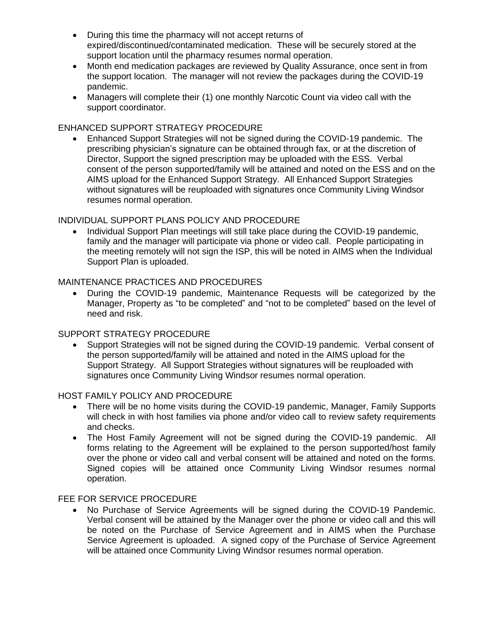- During this time the pharmacy will not accept returns of expired/discontinued/contaminated medication. These will be securely stored at the support location until the pharmacy resumes normal operation.
- Month end medication packages are reviewed by Quality Assurance, once sent in from the support location. The manager will not review the packages during the COVID-19 pandemic.
- Managers will complete their (1) one monthly Narcotic Count via video call with the support coordinator.

#### ENHANCED SUPPORT STRATEGY PROCEDURE

• Enhanced Support Strategies will not be signed during the COVID-19 pandemic. The prescribing physician's signature can be obtained through fax, or at the discretion of Director, Support the signed prescription may be uploaded with the ESS. Verbal consent of the person supported/family will be attained and noted on the ESS and on the AIMS upload for the Enhanced Support Strategy. All Enhanced Support Strategies without signatures will be reuploaded with signatures once Community Living Windsor resumes normal operation.

#### INDIVIDUAL SUPPORT PLANS POLICY AND PROCEDURE

• Individual Support Plan meetings will still take place during the COVID-19 pandemic, family and the manager will participate via phone or video call. People participating in the meeting remotely will not sign the ISP, this will be noted in AIMS when the Individual Support Plan is uploaded.

#### MAINTENANCE PRACTICES AND PROCEDURES

• During the COVID-19 pandemic, Maintenance Requests will be categorized by the Manager, Property as "to be completed" and "not to be completed" based on the level of need and risk.

#### SUPPORT STRATEGY PROCEDURE

• Support Strategies will not be signed during the COVID-19 pandemic. Verbal consent of the person supported/family will be attained and noted in the AIMS upload for the Support Strategy. All Support Strategies without signatures will be reuploaded with signatures once Community Living Windsor resumes normal operation.

#### HOST FAMILY POLICY AND PROCEDURE

- There will be no home visits during the COVID-19 pandemic, Manager, Family Supports will check in with host families via phone and/or video call to review safety requirements and checks.
- The Host Family Agreement will not be signed during the COVID-19 pandemic. All forms relating to the Agreement will be explained to the person supported/host family over the phone or video call and verbal consent will be attained and noted on the forms. Signed copies will be attained once Community Living Windsor resumes normal operation.

#### FEE FOR SERVICE PROCEDURE

• No Purchase of Service Agreements will be signed during the COVID-19 Pandemic. Verbal consent will be attained by the Manager over the phone or video call and this will be noted on the Purchase of Service Agreement and in AIMS when the Purchase Service Agreement is uploaded. A signed copy of the Purchase of Service Agreement will be attained once Community Living Windsor resumes normal operation.